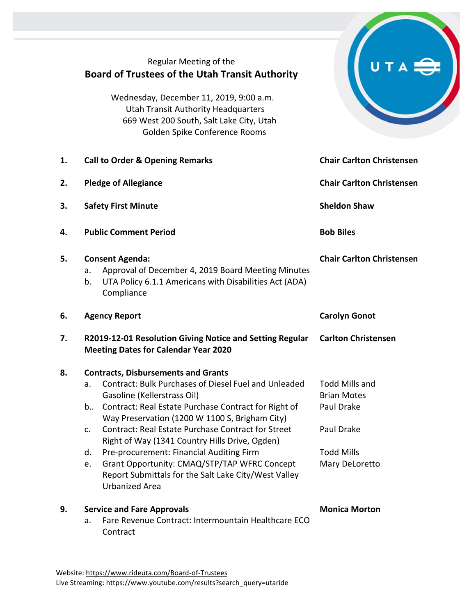|    | Regular Meeting of the<br><b>Board of Trustees of the Utah Transit Authority</b><br>Wednesday, December 11, 2019, 9:00 a.m.<br><b>Utah Transit Authority Headquarters</b><br>669 West 200 South, Salt Lake City, Utah<br>Golden Spike Conference Rooms                                                                                                                                                                                                                                                                                                                      |                                                                                                                |
|----|-----------------------------------------------------------------------------------------------------------------------------------------------------------------------------------------------------------------------------------------------------------------------------------------------------------------------------------------------------------------------------------------------------------------------------------------------------------------------------------------------------------------------------------------------------------------------------|----------------------------------------------------------------------------------------------------------------|
| 1. | <b>Call to Order &amp; Opening Remarks</b>                                                                                                                                                                                                                                                                                                                                                                                                                                                                                                                                  | <b>Chair Carlton Christensen</b>                                                                               |
| 2. | <b>Pledge of Allegiance</b>                                                                                                                                                                                                                                                                                                                                                                                                                                                                                                                                                 | <b>Chair Carlton Christensen</b>                                                                               |
| 3. | <b>Safety First Minute</b>                                                                                                                                                                                                                                                                                                                                                                                                                                                                                                                                                  | <b>Sheldon Shaw</b>                                                                                            |
| 4. | <b>Public Comment Period</b>                                                                                                                                                                                                                                                                                                                                                                                                                                                                                                                                                | <b>Bob Biles</b>                                                                                               |
| 5. | <b>Consent Agenda:</b><br>Approval of December 4, 2019 Board Meeting Minutes<br>a.<br>UTA Policy 6.1.1 Americans with Disabilities Act (ADA)<br>b.<br>Compliance                                                                                                                                                                                                                                                                                                                                                                                                            | <b>Chair Carlton Christensen</b>                                                                               |
| 6. | <b>Agency Report</b>                                                                                                                                                                                                                                                                                                                                                                                                                                                                                                                                                        | <b>Carolyn Gonot</b>                                                                                           |
| 7. | R2019-12-01 Resolution Giving Notice and Setting Regular<br><b>Meeting Dates for Calendar Year 2020</b>                                                                                                                                                                                                                                                                                                                                                                                                                                                                     | <b>Carlton Christensen</b>                                                                                     |
| 8. | <b>Contracts, Disbursements and Grants</b><br><b>Contract: Bulk Purchases of Diesel Fuel and Unleaded</b><br>a.<br>Gasoline (Kellerstrass Oil)<br>Contract: Real Estate Purchase Contract for Right of<br>b<br>Way Preservation (1200 W 1100 S, Brigham City)<br><b>Contract: Real Estate Purchase Contract for Street</b><br>c.<br>Right of Way (1341 Country Hills Drive, Ogden)<br>Pre-procurement: Financial Auditing Firm<br>d.<br>Grant Opportunity: CMAQ/STP/TAP WFRC Concept<br>e.<br>Report Submittals for the Salt Lake City/West Valley<br><b>Urbanized Area</b> | <b>Todd Mills and</b><br><b>Brian Motes</b><br>Paul Drake<br>Paul Drake<br><b>Todd Mills</b><br>Mary DeLoretto |
| 9. | <b>Service and Fare Approvals</b><br>Fare Revenue Contract: Intermountain Healthcare ECO<br>a.<br>Contract                                                                                                                                                                                                                                                                                                                                                                                                                                                                  | <b>Monica Morton</b>                                                                                           |